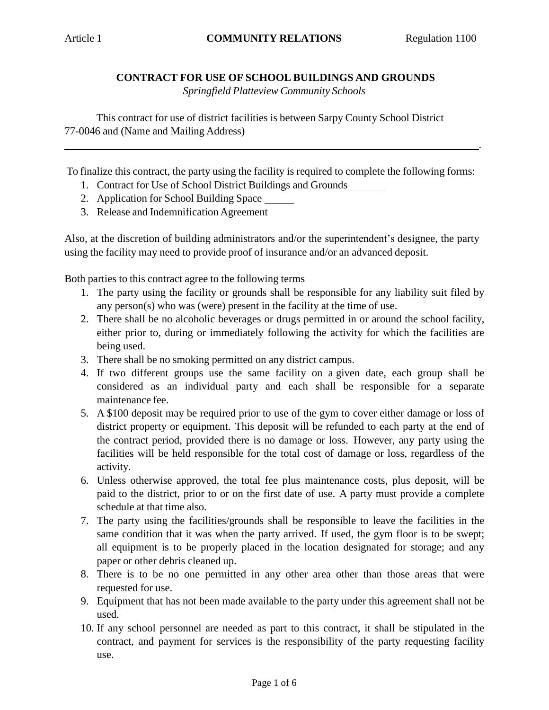.

## **CONTRACT FOR USE OF SCHOOL BUILDINGS AND GROUNDS**

*Springfield Platteview Community Schools*

This contract for use of district facilities is between Sarpy County School District 77-0046 and (Name and Mailing Address)

To finalize this contract, the party using the facility is required to complete the following forms:

- 1. Contract for Use of School District Buildings and Grounds
- 2. Application for School Building Space
- 3. Release and Indemnification Agreement

Also, at the discretion of building administrators and/or the superintendent's designee, the party using the facility may need to provide proof of insurance and/or an advanced deposit.

Both parties to this contract agree to the following terms

- 1. The party using the facility or grounds shall be responsible for any liability suit filed by any person(s) who was (were) present in the facility at the time of use.
- 2. There shall be no alcoholic beverages or drugs permitted in or around the school facility, either prior to, during or immediately following the activity for which the facilities are being used.
- 3. There shall be no smoking permitted on any district campus.
- 4. If two different groups use the same facility on a given date, each group shall be considered as an individual party and each shall be responsible for a separate maintenance fee.
- 5. A \$100 deposit may be required prior to use of the gym to cover either damage or loss of district property or equipment. This deposit will be refunded to each party at the end of the contract period, provided there is no damage or loss. However, any party using the facilities will be held responsible for the total cost of damage or loss, regardless of the activity.
- 6. Unless otherwise approved, the total fee plus maintenance costs, plus deposit, will be paid to the district, prior to or on the first date of use. A party must provide a complete schedule at that time also.
- 7. The party using the facilities/grounds shall be responsible to leave the facilities in the same condition that it was when the party arrived. If used, the gym floor is to be swept; all equipment is to be properly placed in the location designated for storage; and any paper or other debris cleaned up.
- 8. There is to be no one permitted in any other area other than those areas that were requested for use.
- 9. Equipment that has not been made available to the party under this agreement shall not be used.
- 10. If any school personnel are needed as part to this contract, it shall be stipulated in the contract, and payment for services is the responsibility of the party requesting facility use.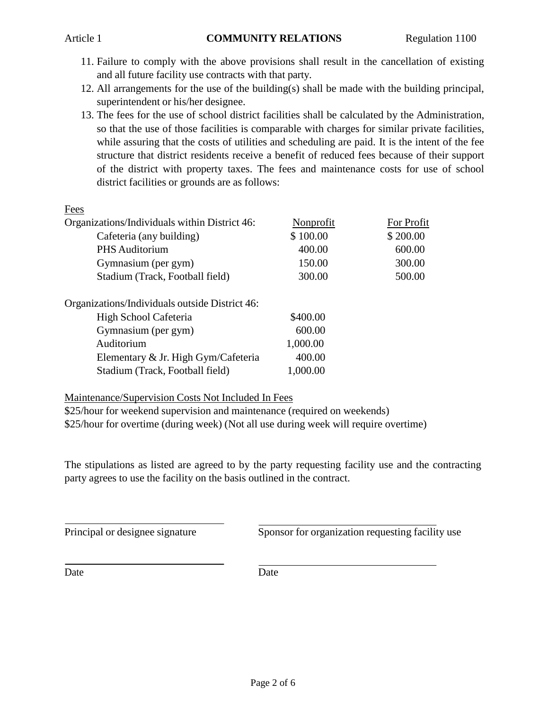- 11. Failure to comply with the above provisions shall result in the cancellation of existing and all future facility use contracts with that party.
- 12. All arrangements for the use of the building(s) shall be made with the building principal, superintendent or his/her designee.
- 13. The fees for the use of school district facilities shall be calculated by the Administration, so that the use of those facilities is comparable with charges for similar private facilities, while assuring that the costs of utilities and scheduling are paid. It is the intent of the fee structure that district residents receive a benefit of reduced fees because of their support of the district with property taxes. The fees and maintenance costs for use of school district facilities or grounds are as follows:

|--|

| Nonprofit | For Profit |
|-----------|------------|
| \$100.00  | \$200.00   |
| 400.00    | 600.00     |
| 150.00    | 300.00     |
| 300.00    | 500.00     |
|           |            |
| \$400.00  |            |
| 600.00    |            |
| 1,000.00  |            |
| 400.00    |            |
| 1,000.00  |            |
|           |            |

## Maintenance/Supervision Costs Not Included In Fees

\$25/hour for weekend supervision and maintenance (required on weekends) \$25/hour for overtime (during week) (Not all use during week will require overtime)

The stipulations as listed are agreed to by the party requesting facility use and the contracting party agrees to use the facility on the basis outlined in the contract.

Principal or designee signature Sponsor for organization requesting facility use

Date Date Date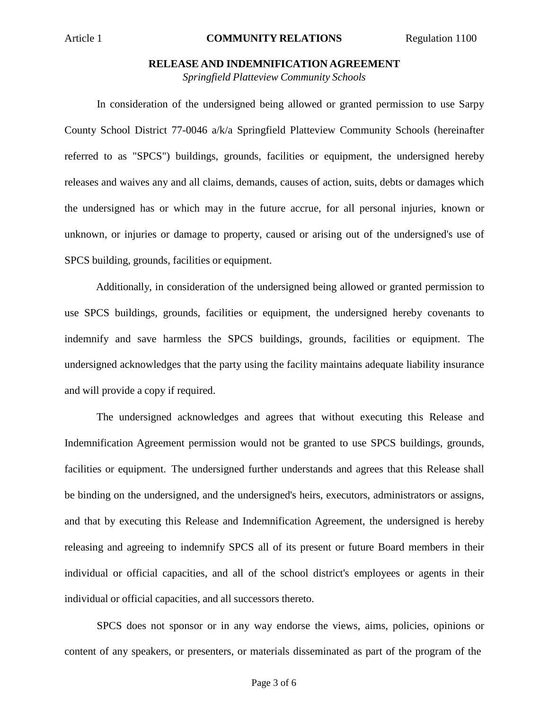#### **RELEASE AND INDEMNIFICATION AGREEMENT**

*Springfield Platteview Community Schools*

In consideration of the undersigned being allowed or granted permission to use Sarpy County School District 77-0046 a/k/a Springfield Platteview Community Schools (hereinafter referred to as "SPCS") buildings, grounds, facilities or equipment, the undersigned hereby releases and waives any and all claims, demands, causes of action, suits, debts or damages which the undersigned has or which may in the future accrue, for all personal injuries, known or unknown, or injuries or damage to property, caused or arising out of the undersigned's use of SPCS building, grounds, facilities or equipment.

Additionally, in consideration of the undersigned being allowed or granted permission to use SPCS buildings, grounds, facilities or equipment, the undersigned hereby covenants to indemnify and save harmless the SPCS buildings, grounds, facilities or equipment. The undersigned acknowledges that the party using the facility maintains adequate liability insurance and will provide a copy if required.

The undersigned acknowledges and agrees that without executing this Release and Indemnification Agreement permission would not be granted to use SPCS buildings, grounds, facilities or equipment. The undersigned further understands and agrees that this Release shall be binding on the undersigned, and the undersigned's heirs, executors, administrators or assigns, and that by executing this Release and Indemnification Agreement, the undersigned is hereby releasing and agreeing to indemnify SPCS all of its present or future Board members in their individual or official capacities, and all of the school district's employees or agents in their individual or official capacities, and all successors thereto.

SPCS does not sponsor or in any way endorse the views, aims, policies, opinions or content of any speakers, or presenters, or materials disseminated as part of the program of the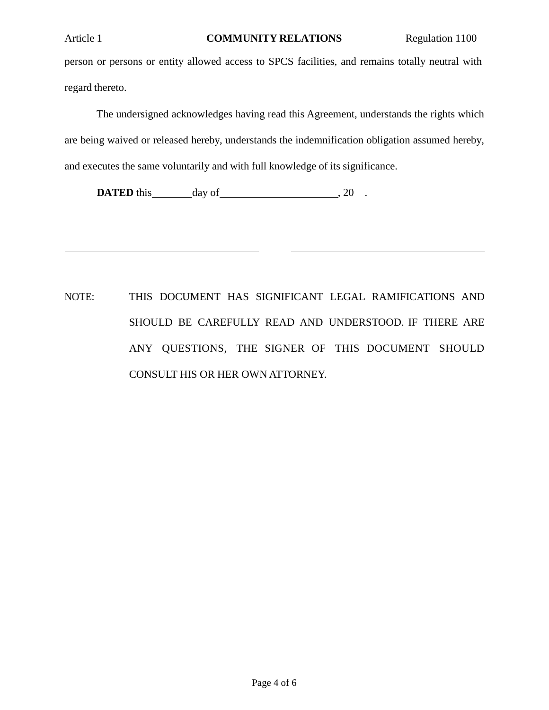person or persons or entity allowed access to SPCS facilities, and remains totally neutral with regard thereto.

The undersigned acknowledges having read this Agreement, understands the rights which are being waived or released hereby, understands the indemnification obligation assumed hereby, and executes the same voluntarily and with full knowledge of its significance.

**DATED** this day of , 20 .

NOTE: THIS DOCUMENT HAS SIGNIFICANT LEGAL RAMIFICATIONS AND SHOULD BE CAREFULLY READ AND UNDERSTOOD. IF THERE ARE ANY QUESTIONS, THE SIGNER OF THIS DOCUMENT SHOULD CONSULT HIS OR HER OWN ATTORNEY.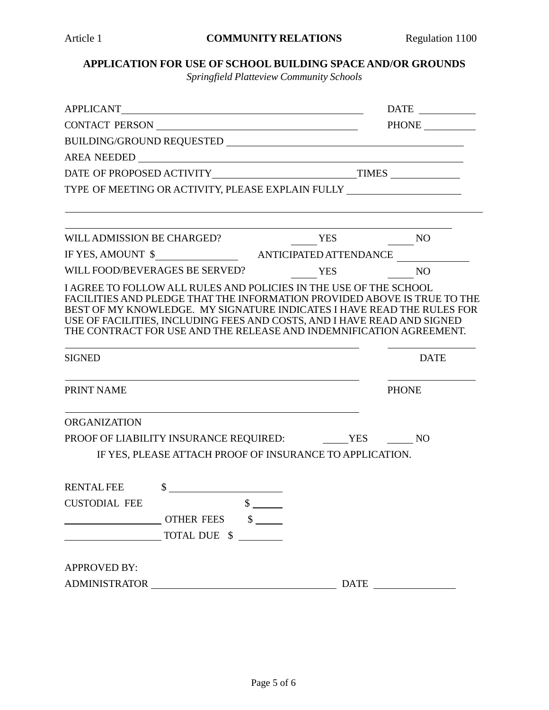# **APPLICATION FOR USE OF SCHOOL BUILDING SPACE AND/OR GROUNDS**

*Springfield Platteview Community Schools*

|                                                                                                                                                                                                                                                                                                                                                                                          | PHONE        |
|------------------------------------------------------------------------------------------------------------------------------------------------------------------------------------------------------------------------------------------------------------------------------------------------------------------------------------------------------------------------------------------|--------------|
|                                                                                                                                                                                                                                                                                                                                                                                          |              |
|                                                                                                                                                                                                                                                                                                                                                                                          |              |
|                                                                                                                                                                                                                                                                                                                                                                                          |              |
| TYPE OF MEETING OR ACTIVITY, PLEASE EXPLAIN FULLY ______________________________                                                                                                                                                                                                                                                                                                         |              |
|                                                                                                                                                                                                                                                                                                                                                                                          |              |
| $\frac{YES}{YES}$<br>WILL ADMISSION BE CHARGED?                                                                                                                                                                                                                                                                                                                                          |              |
|                                                                                                                                                                                                                                                                                                                                                                                          |              |
| WILL FOOD/BEVERAGES BE SERVED?<br><b>YES</b>                                                                                                                                                                                                                                                                                                                                             | <b>NO</b>    |
| I AGREE TO FOLLOW ALL RULES AND POLICIES IN THE USE OF THE SCHOOL<br>FACILITIES AND PLEDGE THAT THE INFORMATION PROVIDED ABOVE IS TRUE TO THE<br>BEST OF MY KNOWLEDGE. MY SIGNATURE INDICATES I HAVE READ THE RULES FOR<br>USE OF FACILITIES, INCLUDING FEES AND COSTS, AND I HAVE READ AND SIGNED<br>THE CONTRACT FOR USE AND THE RELEASE AND INDEMNIFICATION AGREEMENT.                |              |
| <b>SIGNED</b>                                                                                                                                                                                                                                                                                                                                                                            | <b>DATE</b>  |
| PRINT NAME                                                                                                                                                                                                                                                                                                                                                                               | <b>PHONE</b> |
| <b>ORGANIZATION</b>                                                                                                                                                                                                                                                                                                                                                                      |              |
|                                                                                                                                                                                                                                                                                                                                                                                          |              |
| IF YES, PLEASE ATTACH PROOF OF INSURANCE TO APPLICATION.                                                                                                                                                                                                                                                                                                                                 |              |
| $\begin{picture}(20,10) \put(0,0){\vector(1,0){100}} \put(15,0){\vector(1,0){100}} \put(15,0){\vector(1,0){100}} \put(15,0){\vector(1,0){100}} \put(15,0){\vector(1,0){100}} \put(15,0){\vector(1,0){100}} \put(15,0){\vector(1,0){100}} \put(15,0){\vector(1,0){100}} \put(15,0){\vector(1,0){100}} \put(15,0){\vector(1,0){100}} \put(15,0){\vector(1,0){100}} \$<br><b>RENTAL FEE</b> |              |
| $\overline{\phantom{a}}$ $\overline{\phantom{a}}$<br><b>CUSTODIAL FEE</b>                                                                                                                                                                                                                                                                                                                |              |
| OTHER FEES \$                                                                                                                                                                                                                                                                                                                                                                            |              |
| TOTAL DUE \$                                                                                                                                                                                                                                                                                                                                                                             |              |
| <b>APPROVED BY:</b>                                                                                                                                                                                                                                                                                                                                                                      |              |
|                                                                                                                                                                                                                                                                                                                                                                                          |              |